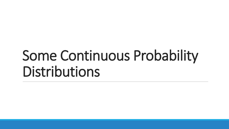# Some Continuous Probability Distributions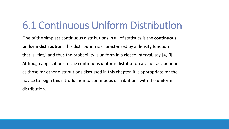### 6.1 Continuous Uniform Distribution

One of the simplest continuous distributions in all of statistics is the **continuous uniform distribution**. This distribution is characterized by a density function that is "flat," and thus the probability is uniform in a closed interval, say [*A, B*]. Although applications of the continuous uniform distribution are not as abundant as those for other distributions discussed in this chapter, it is appropriate for the novice to begin this introduction to continuous distributions with the uniform distribution.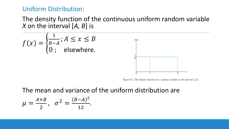#### Uniform Distribution:

### The density function of the continuous uniform random variable *X* on the interval [*A, B*] is



Figure 6.1: The density function for a random variable on the interval  $[1,3]$ .

The mean and variance of the uniform distribution are

$$
\mu = \frac{A+B}{2}, \quad \sigma^2 = \frac{(B-A)^2}{12}.
$$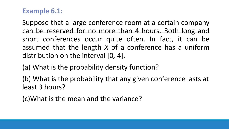### **Example 6.1:**

Suppose that a large conference room at a certain company can be reserved for no more than 4 hours. Both long and short conferences occur quite often. In fact, it can be assumed that the length *X* of a conference has a uniform distribution on the interval [0*,* 4].

(a) What is the probability density function?

(b) What is the probability that any given conference lasts at least 3 hours?

(c)What is the mean and the variance?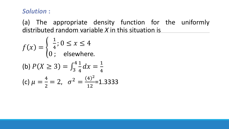### *Solution* **:**

(a) The appropriate density function for the uniformly distributed random variable *X* in this situation is

$$
f(x) = \begin{cases} \frac{1}{4}; 0 \le x \le 4\\ 0; \text{ elsewhere.} \end{cases}
$$
  
(b)  $P(X \ge 3) = \int_3^4 \frac{1}{4} dx = \frac{1}{4}$   
(c)  $\mu = \frac{4}{2} = 2, \sigma^2 = \frac{(4)^2}{12} = 1.3333$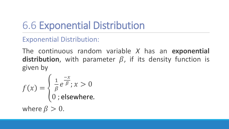## 6.6 Exponential Distribution

### Exponential Distribution:

The continuous random variable *X* has an **exponential distribution**, with parameter  $\beta$ , if its density function is given by

$$
f(x) = \begin{cases} \frac{1}{\beta} e^{\frac{-x}{\beta}}; x > 0\\ 0; \text{elsewhere.} \end{cases}
$$
  
where  $\beta > 0$ .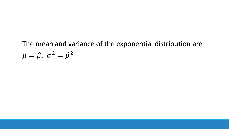### The mean and variance of the exponential distribution are  $\mu = \beta, \sigma^2 = \beta^2$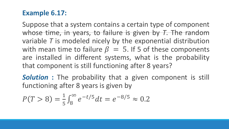### **Example 6.17:**

Suppose that a system contains a certain type of component whose time, in years, to failure is given by *T*. The random variable *T* is modeled nicely by the exponential distribution with mean time to failure  $\beta = 5$ . If 5 of these components are installed in different systems, what is the probability that component is still functioning after 8 years?

*Solution* **:** The probability that a given component is still functioning after 8 years is given by

$$
P(T > 8) = \frac{1}{5} \int_8^{\infty} e^{-t/5} dt = e^{-8/5} \approx 0.2
$$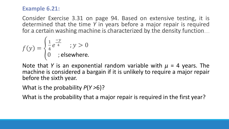#### **Example 6.21:**

Consider Exercise 3.31 on page 94. Based on extensive testing, it is determined that the time *Y* in years before a major repair is required for a certain washing machine is characterized by the density function

$$
f(y) = \begin{cases} \frac{1}{4}e^{\frac{-y}{4}} & ; y > 0\\ 0 & ; \text{elsewhere.} \end{cases}
$$

Note that *Y* is an exponential random variable with *μ* = 4 years. The machine is considered a bargain if it is unlikely to require a major repair before the sixth year.

What is the probability *P*(*Y >*6)?

What is the probability that a major repair is required in the first year?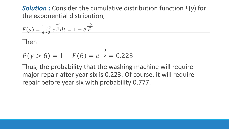*Solution* **:** Consider the cumulative distribution function *F*(*y*) for the exponential distribution,

$$
F(y) = \frac{1}{\beta} \int_0^y e^{\frac{-t}{\beta}} dt = 1 - e^{\frac{-y}{\beta}}
$$

Then

$$
P(y > 6) = 1 - F(6) = e^{-\frac{3}{2}} = 0.223
$$

Thus, the probability that the washing machine will require major repair after year six is 0.223. Of course, it will require repair before year six with probability 0.777.